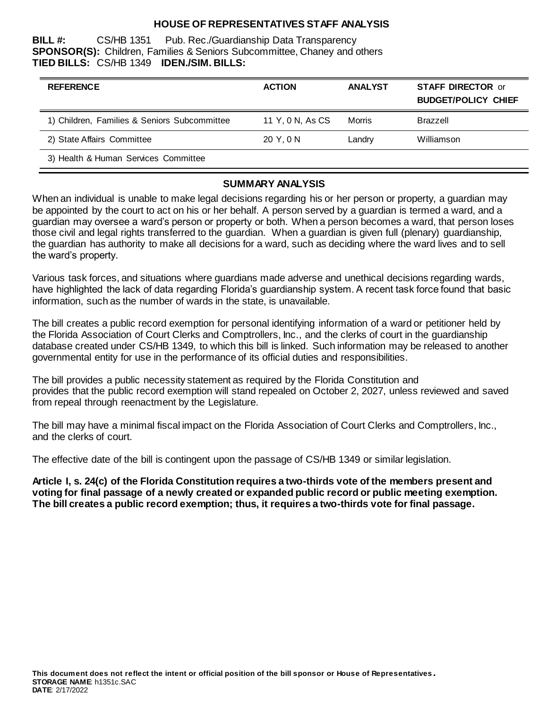# **HOUSE OF REPRESENTATIVES STAFF ANALYSIS**

**BILL #:** CS/HB 1351 Pub. Rec./Guardianship Data Transparency **SPONSOR(S):** Children, Families & Seniors Subcommittee, Chaney and others **TIED BILLS:** CS/HB 1349 **IDEN./SIM. BILLS:**

| <b>REFERENCE</b>                             | <b>ACTION</b>    | <b>ANALYST</b> | <b>STAFF DIRECTOR or</b><br><b>BUDGET/POLICY CHIEF</b> |
|----------------------------------------------|------------------|----------------|--------------------------------------------------------|
| 1) Children, Families & Seniors Subcommittee | 11 Y, 0 N, As CS | Morris         | Brazzell                                               |
| 2) State Affairs Committee                   | 20 Y.ON          | Landry         | Williamson                                             |
| 3) Health & Human Services Committee         |                  |                |                                                        |

#### **SUMMARY ANALYSIS**

When an individual is unable to make legal decisions regarding his or her person or property, a guardian may be appointed by the court to act on his or her behalf. A person served by a guardian is termed a ward, and a guardian may oversee a ward's person or property or both. When a person becomes a ward, that person loses those civil and legal rights transferred to the guardian. When a guardian is given full (plenary) guardianship, the guardian has authority to make all decisions for a ward, such as deciding where the ward lives and to sell the ward's property.

Various task forces, and situations where guardians made adverse and unethical decisions regarding wards, have highlighted the lack of data regarding Florida's guardianship system. A recent task force found that basic information, such as the number of wards in the state, is unavailable.

The bill creates a public record exemption for personal identifying information of a ward or petitioner held by the Florida Association of Court Clerks and Comptrollers, Inc., and the clerks of court in the guardianship database created under CS/HB 1349, to which this bill is linked. Such information may be released to another governmental entity for use in the performance of its official duties and responsibilities.

The bill provides a public necessity statement as required by the Florida Constitution and provides that the public record exemption will stand repealed on October 2, 2027, unless reviewed and saved from repeal through reenactment by the Legislature.

The bill may have a minimal fiscal impact on the Florida Association of Court Clerks and Comptrollers, Inc., and the clerks of court.

The effective date of the bill is contingent upon the passage of CS/HB 1349 or similar legislation.

**Article I, s. 24(c) of the Florida Constitution requires a two-thirds vote of the members present and voting for final passage of a newly created or expanded public record or public meeting exemption. The bill creates a public record exemption; thus, it requires a two-thirds vote for final passage.**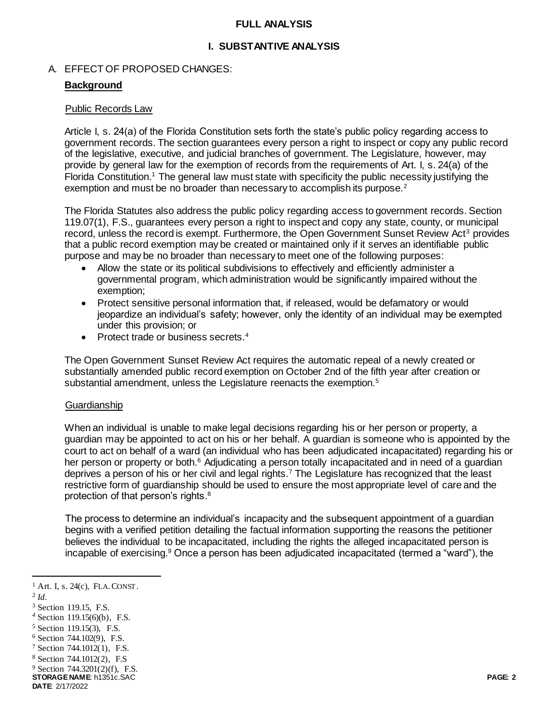### **FULL ANALYSIS**

# **I. SUBSTANTIVE ANALYSIS**

## A. EFFECT OF PROPOSED CHANGES:

## **Background**

### Public Records Law

Article I, s. 24(a) of the Florida Constitution sets forth the state's public policy regarding access to government records. The section guarantees every person a right to inspect or copy any public record of the legislative, executive, and judicial branches of government. The Legislature, however, may provide by general law for the exemption of records from the requirements of Art. I, s. 24(a) of the Florida Constitution.<sup>1</sup> The general law must state with specificity the public necessity justifying the exemption and must be no broader than necessary to accomplish its purpose.<sup>2</sup>

The Florida Statutes also address the public policy regarding access to government records. Section 119.07(1), F.S., guarantees every person a right to inspect and copy any state, county, or municipal record, unless the record is exempt. Furthermore, the Open Government Sunset Review Act<sup>3</sup> provides that a public record exemption may be created or maintained only if it serves an identifiable public purpose and may be no broader than necessary to meet one of the following purposes:

- Allow the state or its political subdivisions to effectively and efficiently administer a governmental program, which administration would be significantly impaired without the exemption;
- Protect sensitive personal information that, if released, would be defamatory or would jeopardize an individual's safety; however, only the identity of an individual may be exempted under this provision; or
- Protect trade or business secrets.<sup>4</sup>

The Open Government Sunset Review Act requires the automatic repeal of a newly created or substantially amended public record exemption on October 2nd of the fifth year after creation or substantial amendment, unless the Legislature reenacts the exemption.<sup>5</sup>

### **Guardianship**

When an individual is unable to make legal decisions regarding his or her person or property, a guardian may be appointed to act on his or her behalf. A guardian is someone who is appointed by the court to act on behalf of a ward (an individual who has been adjudicated incapacitated) regarding his or her person or property or both.<sup>6</sup> Adjudicating a person totally incapacitated and in need of a guardian deprives a person of his or her civil and legal rights.<sup>7</sup> The Legislature has recognized that the least restrictive form of guardianship should be used to ensure the most appropriate level of care and the protection of that person's rights.<sup>8</sup>

The process to determine an individual's incapacity and the subsequent appointment of a guardian begins with a verified petition detailing the factual information supporting the reasons the petitioner believes the individual to be incapacitated, including the rights the alleged incapacitated person is incapable of exercising.<sup>9</sup> Once a person has been adjudicated incapacitated (termed a "ward"), the

2 *Id.*

 $<sup>1</sup>$  Art. I, s. 24(c), FLA. CONST.</sup>

<sup>3</sup> Section 119.15, F.S.

*<sup>4</sup>* Section 119.15(6)(b), F.S.

<sup>5</sup> Section 119.15(3), F.S.

<sup>6</sup> Section 744.102(9), F.S.

<sup>7</sup> Section 744.1012(1), F.S.

<sup>8</sup> Section 744.1012(2), F.S

<sup>9</sup> Section 744.3201(2)(f), F.S.

**STORAGE NAME**: h1351c.SAC **PAGE: 2 DATE**: 2/17/2022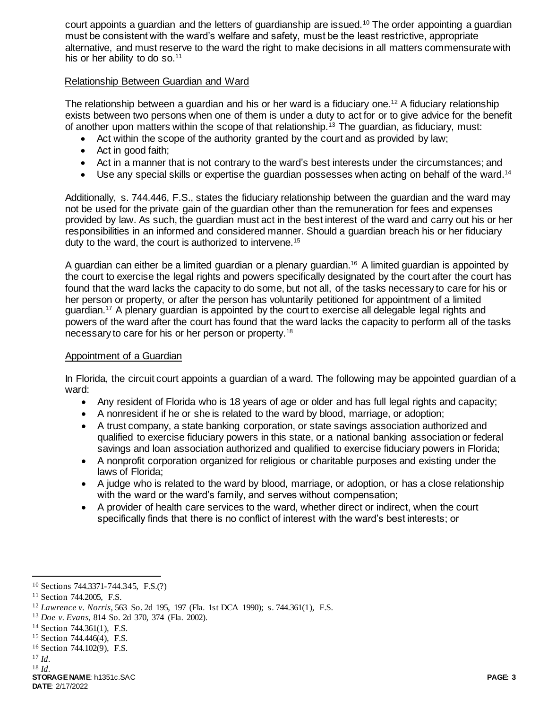court appoints a guardian and the letters of guardianship are issued.<sup>10</sup> The order appointing a guardian must be consistent with the ward's welfare and safety, must be the least restrictive, appropriate alternative, and must reserve to the ward the right to make decisions in all matters commensurate with his or her ability to do so.<sup>11</sup>

## Relationship Between Guardian and Ward

The relationship between a guardian and his or her ward is a fiduciary one.<sup>12</sup> A fiduciary relationship exists between two persons when one of them is under a duty to act for or to give advice for the benefit of another upon matters within the scope of that relationship.<sup>13</sup> The guardian, as fiduciary, must:

- Act within the scope of the authority granted by the court and as provided by law;
- Act in good faith:
- Act in a manner that is not contrary to the ward's best interests under the circumstances; and
- $\bullet$  Use any special skills or expertise the guardian possesses when acting on behalf of the ward.<sup>14</sup>

Additionally, s. 744.446, F.S., states the fiduciary relationship between the guardian and the ward may not be used for the private gain of the guardian other than the remuneration for fees and expenses provided by law. As such, the guardian must act in the best interest of the ward and carry out his or her responsibilities in an informed and considered manner. Should a guardian breach his or her fiduciary duty to the ward, the court is authorized to intervene.<sup>15</sup>

A guardian can either be a limited guardian or a plenary guardian. <sup>16</sup> A limited guardian is appointed by the court to exercise the legal rights and powers specifically designated by the court after the court has found that the ward lacks the capacity to do some, but not all, of the tasks necessary to care for his or her person or property, or after the person has voluntarily petitioned for appointment of a limited guardian.<sup>17</sup> A plenary guardian is appointed by the court to exercise all delegable legal rights and powers of the ward after the court has found that the ward lacks the capacity to perform all of the tasks necessary to care for his or her person or property.<sup>18</sup>

### Appointment of a Guardian

In Florida, the circuit court appoints a guardian of a ward. The following may be appointed guardian of a ward:

- Any resident of Florida who is 18 years of age or older and has full legal rights and capacity;
- A nonresident if he or she is related to the ward by blood, marriage, or adoption;
- A trust company, a state banking corporation, or state savings association authorized and qualified to exercise fiduciary powers in this state, or a national banking association or federal savings and loan association authorized and qualified to exercise fiduciary powers in Florida;
- A nonprofit corporation organized for religious or charitable purposes and existing under the laws of Florida;
- A judge who is related to the ward by blood, marriage, or adoption, or has a close relationship with the ward or the ward's family, and serves without compensation;
- A provider of health care services to the ward, whether direct or indirect, when the court specifically finds that there is no conflict of interest with the ward's best interests; or

<sup>10</sup> Sections 744.3371-744.345, F.S.(?)

<sup>11</sup> Section 744.2005, F.S.

<sup>12</sup> *Lawrence v. Norris,* 563 So. 2d 195, 197 (Fla. 1st DCA 1990); s. 744.361(1), F.S.

<sup>13</sup> *Doe v. Evans,* 814 So. 2d 370, 374 (Fla. 2002).

<sup>14</sup> Section 744.361(1), F.S.

<sup>15</sup> Section 744.446(4), F.S.

<sup>16</sup> Section 744.102(9), F.S.

<sup>17</sup> *Id.*

<sup>18</sup> *Id.*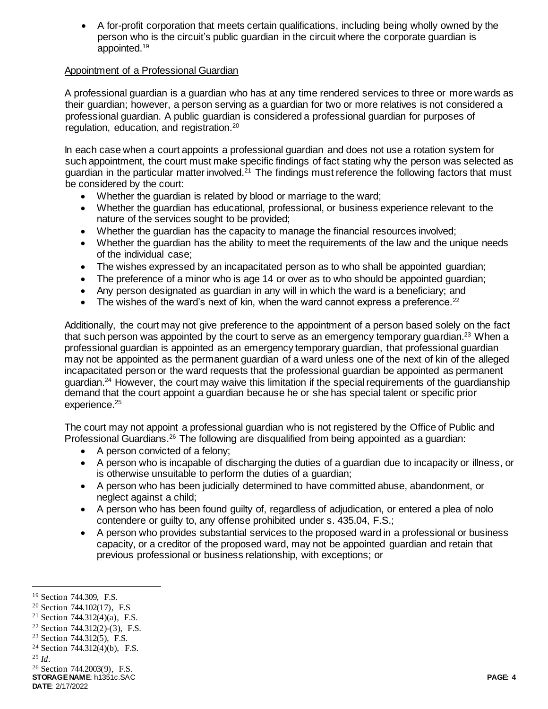A for-profit corporation that meets certain qualifications, including being wholly owned by the person who is the circuit's public guardian in the circuit where the corporate guardian is appointed.<sup>19</sup>

# Appointment of a Professional Guardian

A professional guardian is a guardian who has at any time rendered services to three or more wards as their guardian; however, a person serving as a guardian for two or more relatives is not considered a professional guardian. A public guardian is considered a professional guardian for purposes of regulation, education, and registration.<sup>20</sup>

In each case when a court appoints a professional guardian and does not use a rotation system for such appointment, the court must make specific findings of fact stating why the person was selected as guardian in the particular matter involved.<sup>21</sup> The findings must reference the following factors that must be considered by the court:

- Whether the guardian is related by blood or marriage to the ward;
- Whether the guardian has educational, professional, or business experience relevant to the nature of the services sought to be provided;
- Whether the guardian has the capacity to manage the financial resources involved;
- Whether the guardian has the ability to meet the requirements of the law and the unique needs of the individual case;
- The wishes expressed by an incapacitated person as to who shall be appointed guardian;
- The preference of a minor who is age 14 or over as to who should be appointed quardian;
- Any person designated as guardian in any will in which the ward is a beneficiary; and
- The wishes of the ward's next of kin, when the ward cannot express a preference.<sup>22</sup>

Additionally, the court may not give preference to the appointment of a person based solely on the fact that such person was appointed by the court to serve as an emergency temporary quardian.<sup>23</sup> When a professional guardian is appointed as an emergency temporary guardian, that professional guardian may not be appointed as the permanent guardian of a ward unless one of the next of kin of the alleged incapacitated person or the ward requests that the professional guardian be appointed as permanent guardian.<sup>24</sup> However, the court may waive this limitation if the special requirements of the guardianship demand that the court appoint a guardian because he or she has special talent or specific prior experience.<sup>25</sup>

The court may not appoint a professional guardian who is not registered by the Office of Public and Professional Guardians.<sup>26</sup> The following are disqualified from being appointed as a guardian:

- A person convicted of a felony;
- A person who is incapable of discharging the duties of a guardian due to incapacity or illness, or is otherwise unsuitable to perform the duties of a guardian;
- A person who has been judicially determined to have committed abuse, abandonment, or neglect against a child;
- A person who has been found guilty of, regardless of adjudication, or entered a plea of nolo contendere or guilty to, any offense prohibited under s. 435.04, F.S.;
- A person who provides substantial services to the proposed ward in a professional or business capacity, or a creditor of the proposed ward, may not be appointed guardian and retain that previous professional or business relationship, with exceptions; or

<sup>19</sup> Section 744.309, F.S.

<sup>20</sup> Section 744.102(17), F.S

<sup>&</sup>lt;sup>21</sup> Section 744.312(4)(a), F.S.

 $22$  Section 744.312(2)-(3), F.S.

<sup>23</sup> Section 744.312(5), F.S.

 $24$  Section 744.312(4)(b), F.S.

<sup>25</sup> *Id.*

**STORAGE NAME**: h1351c.SAC **PAGE: 4** <sup>26</sup> Section 744.2003(9), F.S.

**DATE**: 2/17/2022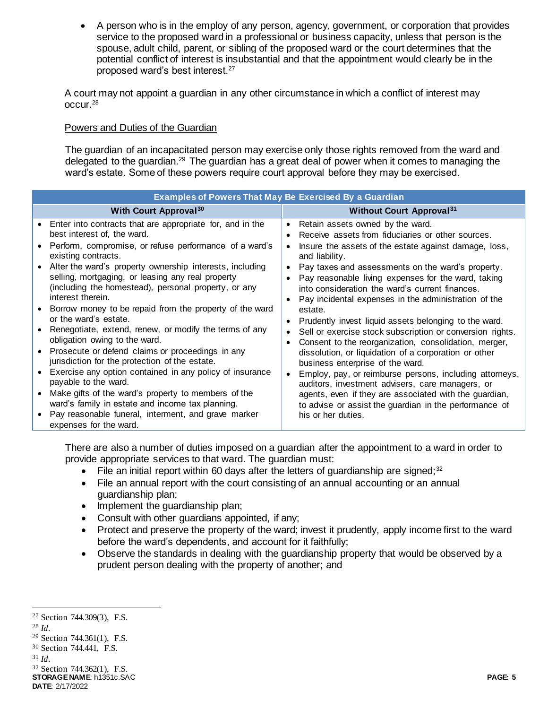A person who is in the employ of any person, agency, government, or corporation that provides service to the proposed ward in a professional or business capacity, unless that person is the spouse, adult child, parent, or sibling of the proposed ward or the court determines that the potential conflict of interest is insubstantial and that the appointment would clearly be in the proposed ward's best interest.<sup>27</sup>

A court may not appoint a guardian in any other circumstance in which a conflict of interest may occur.<sup>28</sup>

## Powers and Duties of the Guardian

The guardian of an incapacitated person may exercise only those rights removed from the ward and delegated to the guardian.<sup>29</sup> The guardian has a great deal of power when it comes to managing the ward's estate. Some of these powers require court approval before they may be exercised.

| <b>Examples of Powers That May Be Exercised By a Guardian</b> |                                                                                                                                                                                                                                                                                                                                                                                                                                                                                                                                         |                                                                                                                                                                                                                                                                                                                                                                                                                                                                                                                                                                                                                                                                                                                                                                                                                                                                                                                                                      |  |
|---------------------------------------------------------------|-----------------------------------------------------------------------------------------------------------------------------------------------------------------------------------------------------------------------------------------------------------------------------------------------------------------------------------------------------------------------------------------------------------------------------------------------------------------------------------------------------------------------------------------|------------------------------------------------------------------------------------------------------------------------------------------------------------------------------------------------------------------------------------------------------------------------------------------------------------------------------------------------------------------------------------------------------------------------------------------------------------------------------------------------------------------------------------------------------------------------------------------------------------------------------------------------------------------------------------------------------------------------------------------------------------------------------------------------------------------------------------------------------------------------------------------------------------------------------------------------------|--|
|                                                               | <b>With Court Approval<sup>30</sup></b>                                                                                                                                                                                                                                                                                                                                                                                                                                                                                                 | <b>Without Court Approval</b> 31                                                                                                                                                                                                                                                                                                                                                                                                                                                                                                                                                                                                                                                                                                                                                                                                                                                                                                                     |  |
|                                                               | Enter into contracts that are appropriate for, and in the<br>best interest of, the ward.<br>Perform, compromise, or refuse performance of a ward's<br>existing contracts.<br>Alter the ward's property ownership interests, including<br>selling, mortgaging, or leasing any real property<br>(including the homestead), personal property, or any<br>interest therein.                                                                                                                                                                 | Retain assets owned by the ward.<br>$\bullet$<br>Receive assets from fiduciaries or other sources.<br>Insure the assets of the estate against damage, loss,<br>and liability.<br>Pay taxes and assessments on the ward's property.<br>Pay reasonable living expenses for the ward, taking<br>into consideration the ward's current finances.<br>Pay incidental expenses in the administration of the<br>estate.<br>Prudently invest liquid assets belonging to the ward.<br>Sell or exercise stock subscription or conversion rights.<br>Consent to the reorganization, consolidation, merger,<br>dissolution, or liquidation of a corporation or other<br>business enterprise of the ward.<br>Employ, pay, or reimburse persons, including attorneys,<br>auditors, investment advisers, care managers, or<br>agents, even if they are associated with the guardian,<br>to advise or assist the guardian in the performance of<br>his or her duties. |  |
|                                                               | Borrow money to be repaid from the property of the ward<br>or the ward's estate.<br>Renegotiate, extend, renew, or modify the terms of any<br>obligation owing to the ward.<br>Prosecute or defend claims or proceedings in any<br>jurisdiction for the protection of the estate.<br>Exercise any option contained in any policy of insurance<br>payable to the ward.<br>Make gifts of the ward's property to members of the<br>ward's family in estate and income tax planning.<br>Pay reasonable funeral, interment, and grave marker |                                                                                                                                                                                                                                                                                                                                                                                                                                                                                                                                                                                                                                                                                                                                                                                                                                                                                                                                                      |  |
|                                                               | expenses for the ward.                                                                                                                                                                                                                                                                                                                                                                                                                                                                                                                  |                                                                                                                                                                                                                                                                                                                                                                                                                                                                                                                                                                                                                                                                                                                                                                                                                                                                                                                                                      |  |

There are also a number of duties imposed on a guardian after the appointment to a ward in order to provide appropriate services to that ward. The guardian must:

- File an initial report within 60 days after the letters of guardianship are signed;<sup>32</sup>
- File an annual report with the court consisting of an annual accounting or an annual guardianship plan;
- Implement the guardianship plan;
- Consult with other guardians appointed, if any;
- Protect and preserve the property of the ward; invest it prudently, apply income first to the ward before the ward's dependents, and account for it faithfully;
- Observe the standards in dealing with the guardianship property that would be observed by a prudent person dealing with the property of another; and

j

<sup>31</sup> *Id.*

**STORAGE NAME**: h1351c.SAC **PAGE: 5 DATE**: 2/17/2022 <sup>32</sup> Section 744.362(1), F.S.

<sup>27</sup> Section 744.309(3), F.S.

<sup>28</sup> *Id.*

<sup>29</sup> Section 744.361(1), F.S.

<sup>30</sup> Section 744.441, F.S.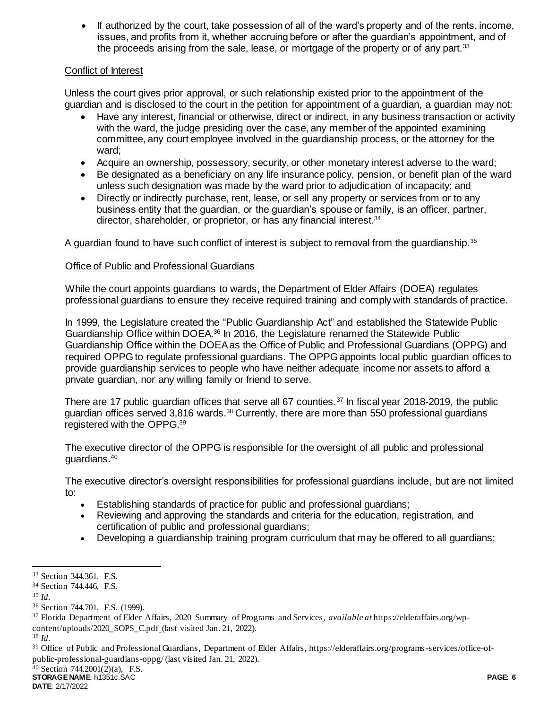• If authorized by the court, take possession of all of the ward's property and of the rents, income, issues, and profits from it, whether accruing before or after the guardian's appointment, and of the proceeds arising from the sale, lease, or mortgage of the property or of any part.<sup>33</sup>

# Conflict of Interest

Unless the court gives prior approval, or such relationship existed prior to the appointment of the guardian and is disclosed to the court in the petition for appointment of a guardian, a guardian may not:

- Have any interest, financial or otherwise, direct or indirect, in any business transaction or activity with the ward, the judge presiding over the case, any member of the appointed examining committee, any court employee involved in the guardianship process, or the attorney for the ward;
- Acquire an ownership, possessory, security, or other monetary interest adverse to the ward;
- Be designated as a beneficiary on any life insurance policy, pension, or benefit plan of the ward unless such designation was made by the ward prior to adjudication of incapacity; and
- Directly or indirectly purchase, rent, lease, or sell any property or services from or to any business entity that the guardian, or the guardian's spouse or family, is an officer, partner, director, shareholder, or proprietor, or has any financial interest.<sup>34</sup>

A guardian found to have such conflict of interest is subject to removal from the guardianship.<sup>35</sup>

# Office of Public and Professional Guardians

While the court appoints guardians to wards, the Department of Elder Affairs (DOEA) regulates professional guardians to ensure they receive required training and comply with standards of practice.

In 1999, the Legislature created the "Public Guardianship Act" and established the Statewide Public Guardianship Office within DOEA.<sup>36</sup> In 2016, the Legislature renamed the Statewide Public Guardianship Office within the DOEA as the Office of Public and Professional Guardians (OPPG) and required OPPG to regulate professional guardians. The OPPG appoints local public guardian offices to provide guardianship services to people who have neither adequate income nor assets to afford a private guardian, nor any willing family or friend to serve.

There are 17 public guardian offices that serve all 67 counties.<sup>37</sup> In fiscal year 2018-2019, the public guardian offices served 3,816 wards.<sup>38</sup> Currently, there are more than 550 professional guardians registered with the OPPG.<sup>39</sup>

The executive director of the OPPG is responsible for the oversight of all public and professional guardians.<sup>40</sup>

The executive director's oversight responsibilities for professional guardians include, but are not limited to:

- Establishing standards of practice for public and professional guardians;
- Reviewing and approving the standards and criteria for the education, registration, and certification of public and professional guardians;
- Developing a guardianship training program curriculum that may be offered to all guardians;

l <sup>33</sup> Section 344.361. F.S.

<sup>34</sup> Section 744.446, F.S.

<sup>35</sup> *Id.*

<sup>36</sup> Section 744.701, F.S. (1999).

<sup>37</sup> Florida Department of Elder Affairs, 2020 Summary of Programs and Services, *available at* https://elderaffairs.org/wpcontent/uploads/2020\_SOPS\_C.pdf (last visited Jan. 21, 2022).

<sup>38</sup> *Id.*

<sup>39</sup> Office of Public and Professional Guardians, Department of Elder Affairs, https://elderaffairs.org/programs-services/office-ofpublic-professional-guardians-oppg/ (last visited Jan. 21, 2022).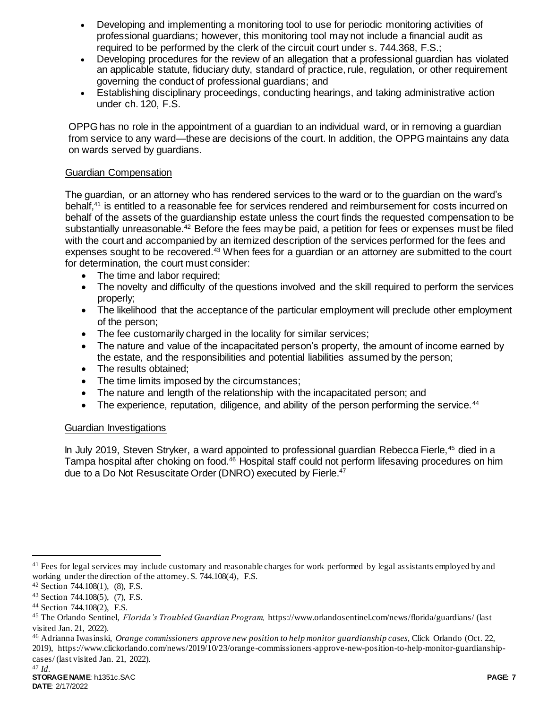- Developing and implementing a monitoring tool to use for periodic monitoring activities of professional guardians; however, this monitoring tool may not include a financial audit as required to be performed by the clerk of the circuit court under s. 744.368, F.S.;
- Developing procedures for the review of an allegation that a professional guardian has violated an applicable statute, fiduciary duty, standard of practice, rule, regulation, or other requirement governing the conduct of professional guardians; and
- Establishing disciplinary proceedings, conducting hearings, and taking administrative action under ch. 120, F.S.

OPPG has no role in the appointment of a guardian to an individual ward, or in removing a guardian from service to any ward—these are decisions of the court. In addition, the OPPG maintains any data on wards served by guardians.

# Guardian Compensation

The guardian, or an attorney who has rendered services to the ward or to the guardian on the ward's behalf,<sup>41</sup> is entitled to a reasonable fee for services rendered and reimbursement for costs incurred on behalf of the assets of the guardianship estate unless the court finds the requested compensation to be substantially unreasonable.<sup>42</sup> Before the fees may be paid, a petition for fees or expenses must be filed with the court and accompanied by an itemized description of the services performed for the fees and expenses sought to be recovered.<sup>43</sup> When fees for a guardian or an attorney are submitted to the court for determination, the court must consider:

- The time and labor required;
- The novelty and difficulty of the questions involved and the skill required to perform the services properly;
- The likelihood that the acceptance of the particular employment will preclude other employment of the person;
- The fee customarily charged in the locality for similar services;
- The nature and value of the incapacitated person's property, the amount of income earned by the estate, and the responsibilities and potential liabilities assumed by the person;
- The results obtained;
- The time limits imposed by the circumstances;
- The nature and length of the relationship with the incapacitated person; and
- The experience, reputation, diligence, and ability of the person performing the service.<sup>44</sup>

# Guardian Investigations

In July 2019, Steven Stryker, a ward appointed to professional guardian Rebecca Fierle,<sup>45</sup> died in a Tampa hospital after choking on food.<sup>46</sup> Hospital staff could not perform lifesaving procedures on him due to a Do Not Resuscitate Order (DNRO) executed by Fierle. 47

<sup>&</sup>lt;sup>41</sup> Fees for legal services may include customary and reasonable charges for work performed by legal assistants employed by and working under the direction of the attorney. S. 744.108(4), F.S.

<sup>42</sup> Section 744.108(1), (8), F.S.

<sup>43</sup> Section 744.108(5), (7), F.S.

<sup>44</sup> Section 744.108(2), F.S.

<sup>45</sup> The Orlando Sentinel, *Florida's Troubled Guardian Program,* https://www.orlandosentinel.com/news/florida/guardians/ (last visited Jan. 21, 2022).

<sup>46</sup> Adrianna Iwasinski, *Orange commissioners approve new position to help monitor guardianship cases,* Click Orlando (Oct. 22, 2019), https://www.clickorlando.com/news/2019/10/23/orange-commissioners-approve-new-position-to-help-monitor-guardianship-

cases/ (last visited Jan. 21, 2022).

<sup>47</sup> *Id.*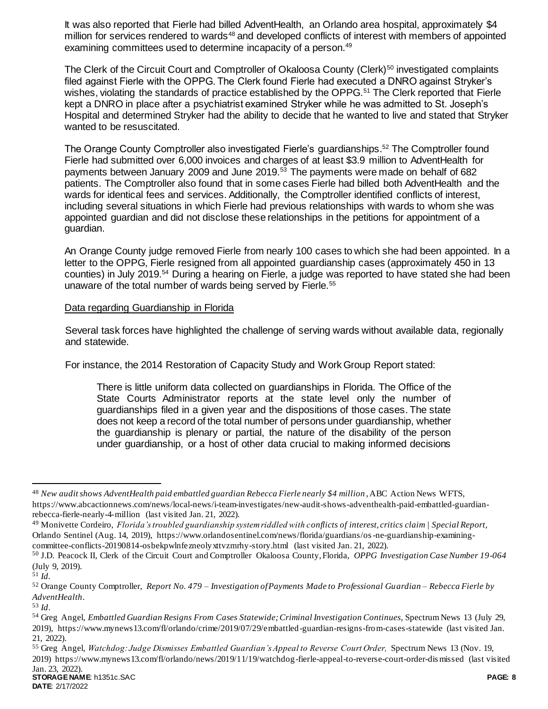It was also reported that Fierle had billed AdventHealth, an Orlando area hospital, approximately \$4 million for services rendered to wards<sup>48</sup> and developed conflicts of interest with members of appointed examining committees used to determine incapacity of a person.<sup>49</sup>

The Clerk of the Circuit Court and Comptroller of Okaloosa County (Clerk)<sup>50</sup> investigated complaints filed against Fierle with the OPPG. The Clerk found Fierle had executed a DNRO against Stryker's wishes, violating the standards of practice established by the OPPG.<sup>51</sup> The Clerk reported that Fierle kept a DNRO in place after a psychiatrist examined Stryker while he was admitted to St. Joseph's Hospital and determined Stryker had the ability to decide that he wanted to live and stated that Stryker wanted to be resuscitated.

The Orange County Comptroller also investigated Fierle's guardianships.<sup>52</sup> The Comptroller found Fierle had submitted over 6,000 invoices and charges of at least \$3.9 million to AdventHealth for payments between January 2009 and June 2019.<sup>53</sup> The payments were made on behalf of 682 patients. The Comptroller also found that in some cases Fierle had billed both AdventHealth and the wards for identical fees and services. Additionally, the Comptroller identified conflicts of interest, including several situations in which Fierle had previous relationships with wards to whom she was appointed guardian and did not disclose these relationships in the petitions for appointment of a guardian.

An Orange County judge removed Fierle from nearly 100 cases to which she had been appointed. In a letter to the OPPG, Fierle resigned from all appointed guardianship cases (approximately 450 in 13 counties) in July 2019.<sup>54</sup> During a hearing on Fierle, a judge was reported to have stated she had been unaware of the total number of wards being served by Fierle.<sup>55</sup>

## Data regarding Guardianship in Florida

Several task forces have highlighted the challenge of serving wards without available data, regionally and statewide.

For instance, the 2014 Restoration of Capacity Study and Work Group Report stated:

There is little uniform data collected on guardianships in Florida. The Office of the State Courts Administrator reports at the state level only the number of guardianships filed in a given year and the dispositions of those cases. The state does not keep a record of the total number of persons under guardianship, whether the guardianship is plenary or partial, the nature of the disability of the person under guardianship, or a host of other data crucial to making informed decisions

 $\overline{a}$ 

<sup>55</sup> Greg Angel, *Watchdog: Judge Dismisses Embattled Guardian's Appeal to Reverse Court Order,* Spectrum News 13 (Nov. 19, 2019) https://www.mynews13.com/fl/orlando/news/2019/11/19/watchdog-fierle-appeal-to-reverse-court-order-dis missed (last visited Jan. 23, 2022).

<sup>48</sup> *New audit shows AdventHealth paid embattled guardian Rebecca Fierle nearly \$4 million* , ABC Action News WFTS, https://www.abcactionnews.com/news/local-news/i-team-investigates/new-audit-shows-adventhealth-paid-embattled-guardianrebecca-fierle-nearly-4-million (last visited Jan. 21, 2022).

<sup>49</sup> Monivette Cordeiro, *Florida's troubled guardianship system riddled with conflicts of interest, critics claim | Special Report,*  Orlando Sentinel (Aug. 14, 2019), https://www.orlandosentinel.com/news/florida/guardians/os-ne-guardianship-examiningcommittee-conflicts-20190814-osbekpwlnfezneolyxttvzmrhy-story.html (last visited Jan. 21, 2022).

<sup>50</sup> J.D. Peacock II, Clerk of the Circuit Court and Comptroller Okaloosa County, Florida, *OPPG Investigation Case Number 19-064*  (July 9, 2019).

 $51$  *Id.* 

<sup>52</sup> Orange County Comptroller, *Report No. 479 – Investigation of Payments Made to Professional Guardian – Rebecca Fierle by AdventHealth*.

<sup>53</sup> *Id*.

<sup>54</sup> Greg Angel, *Embattled Guardian Resigns From Cases Statewide; Criminal Investigation Continues,* Spectrum News 13 (July 29, 2019), https://www.mynews13.com/fl/orlando/crime/2019/07/29/embattled-guardian-resigns-from-cases-statewide (last visited Jan. 21, 2022).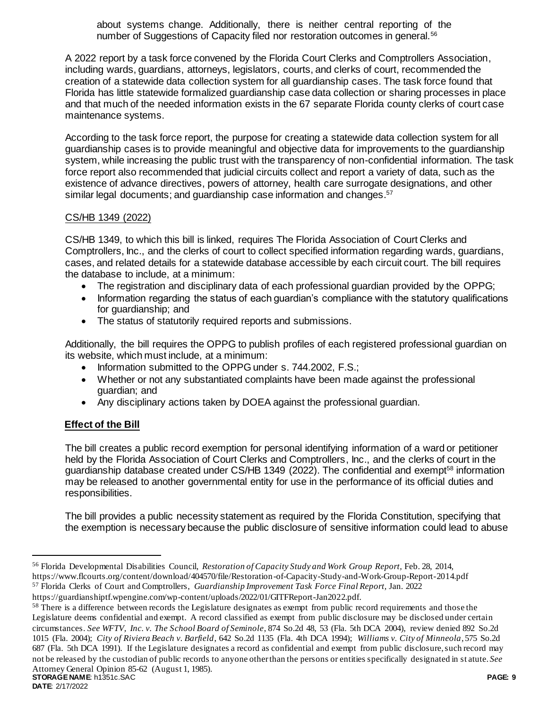about systems change. Additionally, there is neither central reporting of the number of Suggestions of Capacity filed nor restoration outcomes in general.<sup>56</sup>

A 2022 report by a task force convened by the Florida Court Clerks and Comptrollers Association, including wards, guardians, attorneys, legislators, courts, and clerks of court, recommended the creation of a statewide data collection system for all guardianship cases. The task force found that Florida has little statewide formalized guardianship case data collection or sharing processes in place and that much of the needed information exists in the 67 separate Florida county clerks of court case maintenance systems.

According to the task force report, the purpose for creating a statewide data collection system for all guardianship cases is to provide meaningful and objective data for improvements to the guardianship system, while increasing the public trust with the transparency of non-confidential information. The task force report also recommended that judicial circuits collect and report a variety of data, such as the existence of advance directives, powers of attorney, health care surrogate designations, and other similar legal documents; and guardianship case information and changes.<sup>57</sup>

## CS/HB 1349 (2022)

CS/HB 1349, to which this bill is linked, requires The Florida Association of Court Clerks and Comptrollers, Inc., and the clerks of court to collect specified information regarding wards, guardians, cases, and related details for a statewide database accessible by each circuit court. The bill requires the database to include, at a minimum:

- The registration and disciplinary data of each professional guardian provided by the OPPG;
- Information regarding the status of each guardian's compliance with the statutory qualifications for guardianship; and
- The status of statutorily required reports and submissions.

Additionally, the bill requires the OPPG to publish profiles of each registered professional guardian on its website, which must include, at a minimum:

- Information submitted to the OPPG under s. 744.2002, F.S.;
- Whether or not any substantiated complaints have been made against the professional guardian; and
- Any disciplinary actions taken by DOEA against the professional guardian.

# **Effect of the Bill**

The bill creates a public record exemption for personal identifying information of a ward or petitioner held by the Florida Association of Court Clerks and Comptrollers, Inc., and the clerks of court in the guardianship database created under CS/HB 1349 (2022). The confidential and exempt<sup>58</sup> information may be released to another governmental entity for use in the performance of its official duties and responsibilities.

The bill provides a public necessity statement as required by the Florida Constitution, specifying that the exemption is necessary because the public disclosure of sensitive information could lead to abuse

<sup>56</sup> Florida Developmental Disabilities Council, *Restoration of Capacity Study and Work Group Report,* Feb. 28, 2014, https://www.flcourts.org/content/download/404570/file/Restoration-of-Capacity-Study-and-Work-Group-Report-2014.pdf <sup>57</sup> Florida Clerks of Court and Comptrollers, *Guardianship Improvement Task Force Final Report,* Jan. 2022

https://guardianshiptf.wpengine.com/wp-content/uploads/2022/01/GITFReport-Jan2022.pdf.

**STORAGE NAME**: h1351c.SAC **PAGE: 9** <sup>58</sup> There is a difference between records the Legislature designates as exempt from public record requirements and those the Legislature deems confidential and exempt. A record classified as exempt from public disclosure may be disclosed under certain circumstances. *See WFTV, Inc. v. The School Board of Seminole*, 874 So.2d 48, 53 (Fla. 5th DCA 2004), review denied 892 So.2d 1015 (Fla. 2004); *City of Riviera Beach v. Barfield*, 642 So.2d 1135 (Fla. 4th DCA 1994); *Williams v. City of Minneola*, 575 So.2d 687 (Fla. 5th DCA 1991). If the Legislature designates a record as confidential and exempt from public disclosure, such record may not be released by the custodian of public records to anyone other than the persons or entities specifically designated in st atute. *See*  Attorney General Opinion 85-62 (August 1, 1985).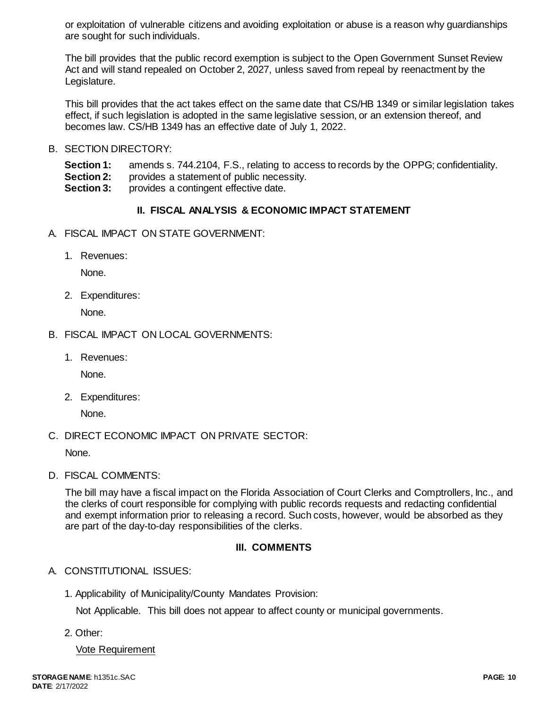or exploitation of vulnerable citizens and avoiding exploitation or abuse is a reason why guardianships are sought for such individuals.

The bill provides that the public record exemption is subject to the Open Government Sunset Review Act and will stand repealed on October 2, 2027, unless saved from repeal by reenactment by the Legislature.

This bill provides that the act takes effect on the same date that CS/HB 1349 or similar legislation takes effect, if such legislation is adopted in the same legislative session, or an extension thereof, and becomes law. CS/HB 1349 has an effective date of July 1, 2022.

B. SECTION DIRECTORY:

**Section 1:** amends s. 744.2104, F.S., relating to access to records by the OPPG; confidentiality. **Section 2:** provides a statement of public necessity.

**Section 3:** provides a contingent effective date.

# **II. FISCAL ANALYSIS & ECONOMIC IMPACT STATEMENT**

- A. FISCAL IMPACT ON STATE GOVERNMENT:
	- 1. Revenues:

None.

2. Expenditures:

None.

- B. FISCAL IMPACT ON LOCAL GOVERNMENTS:
	- 1. Revenues:

None.

2. Expenditures:

None.

C. DIRECT ECONOMIC IMPACT ON PRIVATE SECTOR:

None.

D. FISCAL COMMENTS:

The bill may have a fiscal impact on the Florida Association of Court Clerks and Comptrollers, Inc., and the clerks of court responsible for complying with public records requests and redacting confidential and exempt information prior to releasing a record. Such costs, however, would be absorbed as they are part of the day-to-day responsibilities of the clerks.

### **III. COMMENTS**

# A. CONSTITUTIONAL ISSUES:

1. Applicability of Municipality/County Mandates Provision:

Not Applicable. This bill does not appear to affect county or municipal governments.

2. Other:

Vote Requirement